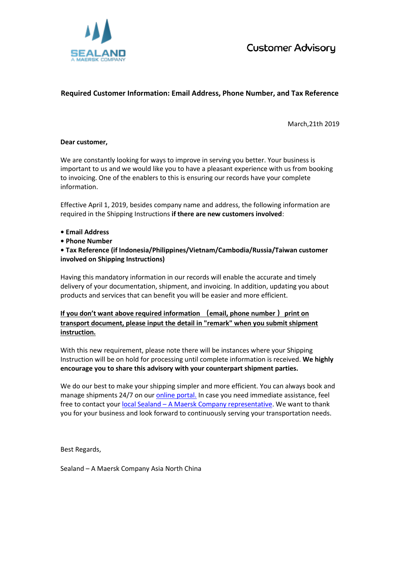

**Customer Advisory** 

## **Required Customer Information: Email Address, Phone Number, and Tax Reference**

March,21th 2019

## **Dear customer,**

We are constantly looking for ways to improve in serving you better. Your business is important to us and we would like you to have a pleasant experience with us from booking to invoicing. One of the enablers to this is ensuring our records have your complete information.

Effective April 1, 2019, besides company name and address, the following information are required in the Shipping Instructions **if there are new customers involved**:

- **Email Address**
- **Phone Number**

**• Tax Reference (if Indonesia/Philippines/Vietnam/Cambodia/Russia/Taiwan customer involved on Shipping Instructions)**

Having this mandatory information in our records will enable the accurate and timely delivery of your documentation, shipment, and invoicing. In addition, updating you about products and services that can benefit you will be easier and more efficient.

**If you don't want above required information (email, phone number )print on transport document, please input the detail in "remark" when you submit shipment instruction.**

With this new requirement, please note there will be instances where your Shipping Instruction will be on hold for processing until complete information is received. **We highly encourage you to share this advisory with your counterpart shipment parties.**

We do our best to make your shipping simpler and more efficient. You can always book and manage shipments 24/7 on ou[r online portal.](https://www.sealandmaersk.com/) In case you need immediate assistance, feel free to contact your local Sealand – [A Maersk Company representative.](https://www.sealandmaersk.com/local-information) We want to thank you for your business and look forward to continuously serving your transportation needs.

Best Regards,

Sealand – A Maersk Company Asia North China